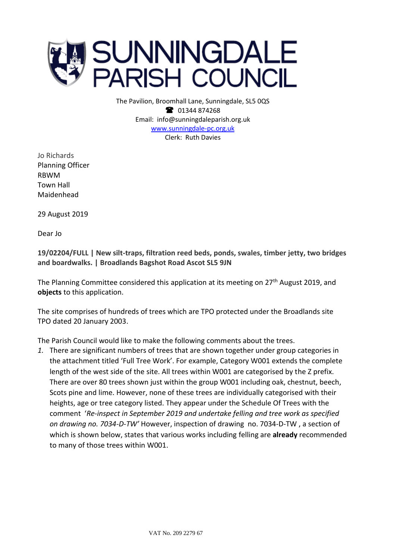

The Pavilion, Broomhall Lane, Sunningdale, SL5 0QS <sup>3</sup> 01344 874268 Email: info@sunningdaleparish.org.uk [www.sunningdale-pc.org.uk](http://www.sunningdale-pc.org.uk/) Clerk: Ruth Davies

Jo Richards Planning Officer RBWM Town Hall Maidenhead

29 August 2019

Dear Jo

**19/02204/FULL | New silt-traps, filtration reed beds, ponds, swales, timber jetty, two bridges and boardwalks. | Broadlands Bagshot Road Ascot SL5 9JN**

The Planning Committee considered this application at its meeting on 27<sup>th</sup> August 2019, and **objects** to this application.

The site comprises of hundreds of trees which are TPO protected under the Broadlands site TPO dated 20 January 2003.

The Parish Council would like to make the following comments about the trees.

*1.* There are significant numbers of trees that are shown together under group categories in the attachment titled 'Full Tree Work'. For example, Category W001 extends the complete length of the west side of the site. All trees within W001 are categorised by the Z prefix. There are over 80 trees shown just within the group W001 including oak, chestnut, beech, Scots pine and lime. However, none of these trees are individually categorised with their heights, age or tree category listed. They appear under the Schedule Of Trees with the comment '*Re-inspect in September 2019 and undertake felling and tree work as specified on drawing no. 7034-D-TW'* However, inspection of drawing no. 7034-D-TW , a section of which is shown below, states that various works including felling are **already** recommended to many of those trees within W001.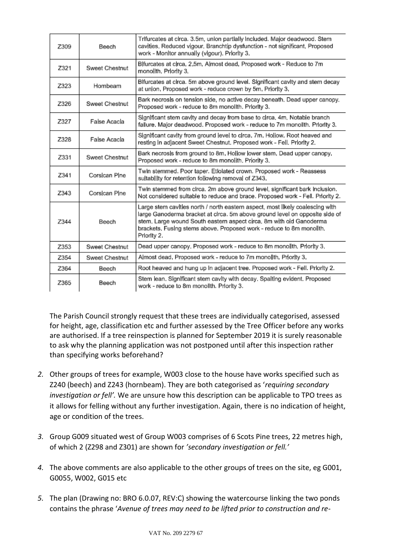| Z309 | Beech          | Trifurcates at circa. 3.5m, union partially included. Major deadwood. Stem<br>cavities. Reduced vigour. Branchtip dysfunction - not significant. Proposed<br>work - Monitor annually (vigour). Priority 3.                                                                                                                 |
|------|----------------|----------------------------------------------------------------------------------------------------------------------------------------------------------------------------------------------------------------------------------------------------------------------------------------------------------------------------|
| Z321 | Sweet Chestnut | Blfurcates at circa, 2.5m, Almost dead, Proposed work - Reduce to 7m<br>monolith. Priority 3.                                                                                                                                                                                                                              |
| Z323 | Hornbeam       | Blfurcates at circa. 5m above ground level. Significant cavity and stem decay<br>at union, Proposed work - reduce crown by 5m, Priority 3,                                                                                                                                                                                 |
| Z326 | Sweet Chestnut | Bark necrosis on tension side, no active decay beneath. Dead upper canopy.<br>Proposed work - reduce to 8m monolith. Priority 3.                                                                                                                                                                                           |
| Z327 | False Acacla   | Significant stem cavity and decay from base to circa. 4m. Notable branch<br>fallure. Major deadwood. Proposed work - reduce to 7m monolith. Priority 3.                                                                                                                                                                    |
| Z328 | False Acacla   | Significant cavity from ground level to circa, 7m, Hollow, Root heaved and<br>resting in adjacent Sweet Chestnut, Proposed work - Fell, Priority 2.                                                                                                                                                                        |
| Z331 | Sweet Chestnut | Bark necrosis from ground to 8m, Hollow lower stem, Dead upper canopy,<br>Proposed work - reduce to 8m monolith. Priority 3.                                                                                                                                                                                               |
| Z341 | Corsican Pine  | Twin stemmed. Poor taper. Etiolated crown. Proposed work - Reassess<br>suitability for retention following removal of Z343,                                                                                                                                                                                                |
| Z343 | Corsican Pine  | Twin stemmed from circa. 2m above ground level, significant bark inclusion.<br>Not considered sultable to reduce and brace. Proposed work - Fell. Priority 2.                                                                                                                                                              |
| 7344 | Beech          | Large stem cavities north / north eastern aspect, most likely coalescing with<br>large Ganoderma bracket at circa. 5m above ground level on opposite side of<br>stem. Large wound South eastern aspect circa. 8m with old Ganoderma<br>brackets. Fusing stems above. Proposed work - reduce to 8m monolith.<br>Priority 2. |
| Z353 | Sweet Chestnut | Dead upper canopy. Proposed work - reduce to 8m monolith. Priority 3.                                                                                                                                                                                                                                                      |
| Z354 | Sweet Chestnut | Almost dead, Proposed work - reduce to 7m monolith, Priority 3,                                                                                                                                                                                                                                                            |
| Z364 | Beech          | Root heaved and hung up In adjacent tree. Proposed work - Fell. Priority 2.                                                                                                                                                                                                                                                |
| Z365 | Beech          | Stem lean. Significant stem cavity with decay. Spaiting evident. Proposed<br>work - reduce to 8m monolith. Priority 3.                                                                                                                                                                                                     |

The Parish Council strongly request that these trees are individually categorised, assessed for height, age, classification etc and further assessed by the Tree Officer before any works are authorised. If a tree reinspection is planned for September 2019 it is surely reasonable to ask why the planning application was not postponed until after this inspection rather than specifying works beforehand?

- *2.* Other groups of trees for example, W003 close to the house have works specified such as Z240 (beech) and Z243 (hornbeam). They are both categorised as '*requiring secondary investigation or fell'.* We are unsure how this description can be applicable to TPO trees as it allows for felling without any further investigation. Again, there is no indication of height, age or condition of the trees.
- *3.* Group G009 situated west of Group W003 comprises of 6 Scots Pine trees, 22 metres high, of which 2 (Z298 and Z301) are shown for *'secondary investigation or fell.'*
- *4.* The above comments are also applicable to the other groups of trees on the site, eg G001, G0055, W002, G015 etc
- *5.* The plan (Drawing no: BRO 6.0.07, REV:C) showing the watercourse linking the two ponds contains the phrase '*Avenue of trees may need to be lifted prior to construction and re-*